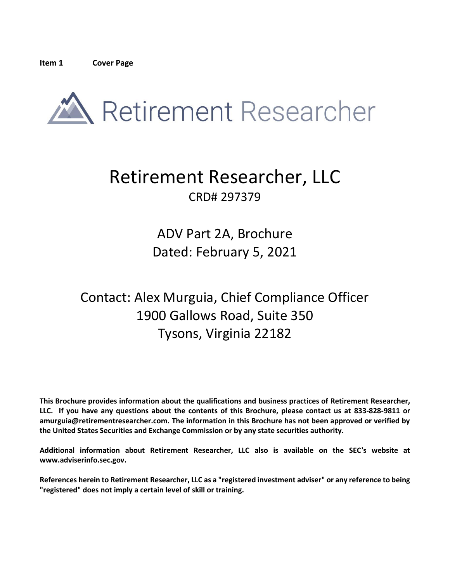<span id="page-0-0"></span>

# Retirement Researcher, LLC CRD# 297379

ADV Part 2A, Brochure Dated: February 5, 2021

## Contact: Alex Murguia, Chief Compliance Officer 1900 Gallows Road, Suite 350 Tysons, Virginia 22182

**This Brochure provides information about the qualifications and business practices of Retirement Researcher, LLC. If you have any questions about the contents of this Brochure, please contact us at 833-828-9811 or amurguia@retirementresearcher.com. The information in this Brochure has not been approved or verified by the United States Securities and Exchange Commission or by any state securities authority.**

**Additional information about Retirement Researcher, LLC also is available on the SEC's website at www.adviserinfo.sec.gov.**

**References herein to Retirement Researcher, LLC as a "registered investment adviser" or any reference to being "registered" does not imply a certain level of skill or training.**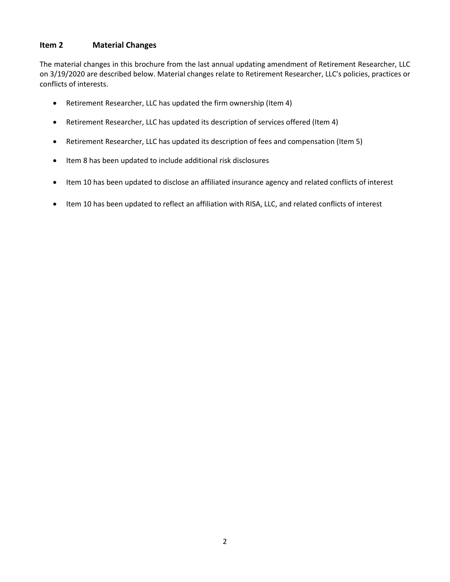## <span id="page-1-0"></span>**Item 2 Material Changes**

The material changes in this brochure from the last annual updating amendment of Retirement Researcher, LLC on 3/19/2020 are described below. Material changes relate to Retirement Researcher, LLC's policies, practices or conflicts of interests.

- Retirement Researcher, LLC has updated the firm ownership (Item 4)
- Retirement Researcher, LLC has updated its description of services offered (Item 4)
- Retirement Researcher, LLC has updated its description of fees and compensation (Item 5)
- Item 8 has been updated to include additional risk disclosures
- Item 10 has been updated to disclose an affiliated insurance agency and related conflicts of interest
- Item 10 has been updated to reflect an affiliation with RISA, LLC, and related conflicts of interest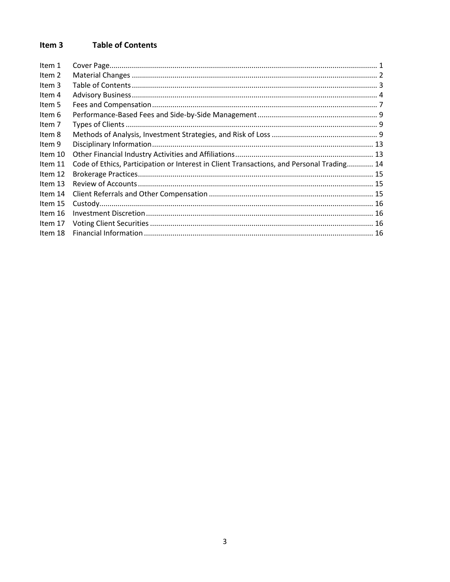#### <span id="page-2-0"></span>Item 3 **Table of Contents**

| Item 1  |                                                                                           |  |
|---------|-------------------------------------------------------------------------------------------|--|
| Item 2  |                                                                                           |  |
| Item 3  |                                                                                           |  |
| Item 4  |                                                                                           |  |
| Item 5  |                                                                                           |  |
| Item 6  |                                                                                           |  |
| Item 7  |                                                                                           |  |
| Item 8  |                                                                                           |  |
| Item 9  |                                                                                           |  |
| Item 10 |                                                                                           |  |
| Item 11 | Code of Ethics, Participation or Interest in Client Transactions, and Personal Trading 14 |  |
| Item 12 |                                                                                           |  |
| Item 13 |                                                                                           |  |
| Item 14 |                                                                                           |  |
| Item 15 |                                                                                           |  |
| Item 16 |                                                                                           |  |
| Item 17 |                                                                                           |  |
| Item 18 |                                                                                           |  |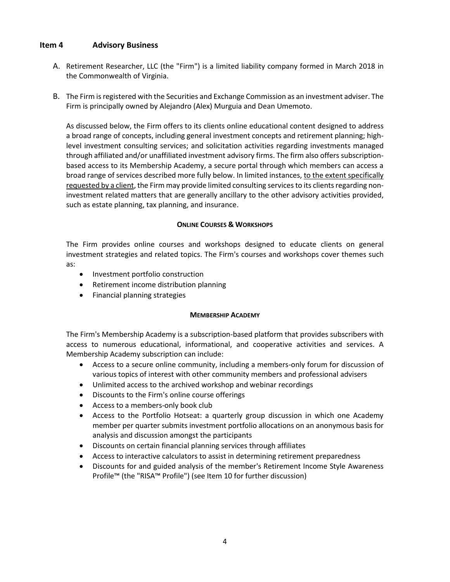### <span id="page-3-0"></span>**Item 4 Advisory Business**

- A. Retirement Researcher, LLC (the "Firm") is a limited liability company formed in March 2018 in the Commonwealth of Virginia.
- B. The Firm is registered with the Securities and Exchange Commission as an investment adviser. The Firm is principally owned by Alejandro (Alex) Murguia and Dean Umemoto.

As discussed below, the Firm offers to its clients online educational content designed to address a broad range of concepts, including general investment concepts and retirement planning; highlevel investment consulting services; and solicitation activities regarding investments managed through affiliated and/or unaffiliated investment advisory firms. The firm also offers subscriptionbased access to its Membership Academy, a secure portal through which members can access a broad range of services described more fully below. In limited instances, to the extent specifically requested by a client, the Firm may provide limited consulting services to its clients regarding noninvestment related matters that are generally ancillary to the other advisory activities provided, such as estate planning, tax planning, and insurance.

#### **ONLINE COURSES & WORKSHOPS**

The Firm provides online courses and workshops designed to educate clients on general investment strategies and related topics. The Firm's courses and workshops cover themes such as:

- Investment portfolio construction
- Retirement income distribution planning
- Financial planning strategies

#### **MEMBERSHIP ACADEMY**

The Firm's Membership Academy is a subscription-based platform that provides subscribers with access to numerous educational, informational, and cooperative activities and services. A Membership Academy subscription can include:

- Access to a secure online community, including a members-only forum for discussion of various topics of interest with other community members and professional advisers
- Unlimited access to the archived workshop and webinar recordings
- Discounts to the Firm's online course offerings
- Access to a members-only book club
- Access to the Portfolio Hotseat: a quarterly group discussion in which one Academy member per quarter submits investment portfolio allocations on an anonymous basis for analysis and discussion amongst the participants
- Discounts on certain financial planning services through affiliates
- Access to interactive calculators to assist in determining retirement preparedness
- Discounts for and guided analysis of the member's Retirement Income Style Awareness Profile™ (the "RISA™ Profile") (see Item 10 for further discussion)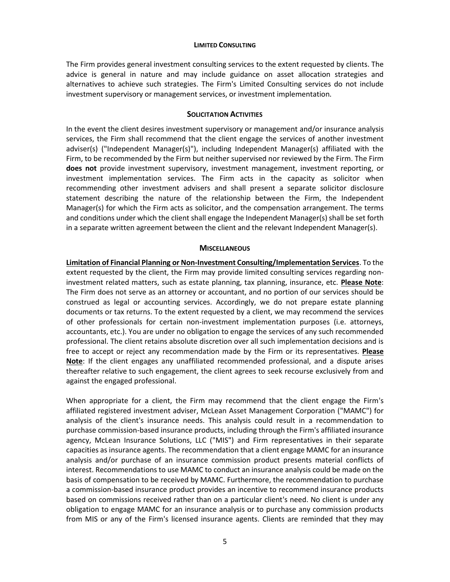#### **LIMITED CONSULTING**

The Firm provides general investment consulting services to the extent requested by clients. The advice is general in nature and may include guidance on asset allocation strategies and alternatives to achieve such strategies. The Firm's Limited Consulting services do not include investment supervisory or management services, or investment implementation.

#### **SOLICITATION ACTIVITIES**

In the event the client desires investment supervisory or management and/or insurance analysis services, the Firm shall recommend that the client engage the services of another investment adviser(s) ("Independent Manager(s)"), including Independent Manager(s) affiliated with the Firm, to be recommended by the Firm but neither supervised nor reviewed by the Firm. The Firm **does not** provide investment supervisory, investment management, investment reporting, or investment implementation services. The Firm acts in the capacity as solicitor when recommending other investment advisers and shall present a separate solicitor disclosure statement describing the nature of the relationship between the Firm, the Independent Manager(s) for which the Firm acts as solicitor, and the compensation arrangement. The terms and conditions under which the client shall engage the Independent Manager(s) shall be set forth in a separate written agreement between the client and the relevant Independent Manager(s).

#### **MISCELLANEOUS**

**Limitation of Financial Planning or Non-Investment Consulting/Implementation Services**. To the extent requested by the client, the Firm may provide limited consulting services regarding noninvestment related matters, such as estate planning, tax planning, insurance, etc. **Please Note**: The Firm does not serve as an attorney or accountant, and no portion of our services should be construed as legal or accounting services. Accordingly, we do not prepare estate planning documents or tax returns. To the extent requested by a client, we may recommend the services of other professionals for certain non-investment implementation purposes (i.e. attorneys, accountants, etc.). You are under no obligation to engage the services of any such recommended professional. The client retains absolute discretion over all such implementation decisions and is free to accept or reject any recommendation made by the Firm or its representatives. **Please Note**: If the client engages any unaffiliated recommended professional, and a dispute arises thereafter relative to such engagement, the client agrees to seek recourse exclusively from and against the engaged professional.

When appropriate for a client, the Firm may recommend that the client engage the Firm's affiliated registered investment adviser, McLean Asset Management Corporation ("MAMC") for analysis of the client's insurance needs. This analysis could result in a recommendation to purchase commission-based insurance products, including through the Firm's affiliated insurance agency, McLean Insurance Solutions, LLC ("MIS") and Firm representatives in their separate capacities as insurance agents. The recommendation that a client engage MAMC for an insurance analysis and/or purchase of an insurance commission product presents material conflicts of interest. Recommendations to use MAMC to conduct an insurance analysis could be made on the basis of compensation to be received by MAMC. Furthermore, the recommendation to purchase a commission-based insurance product provides an incentive to recommend insurance products based on commissions received rather than on a particular client's need. No client is under any obligation to engage MAMC for an insurance analysis or to purchase any commission products from MIS or any of the Firm's licensed insurance agents. Clients are reminded that they may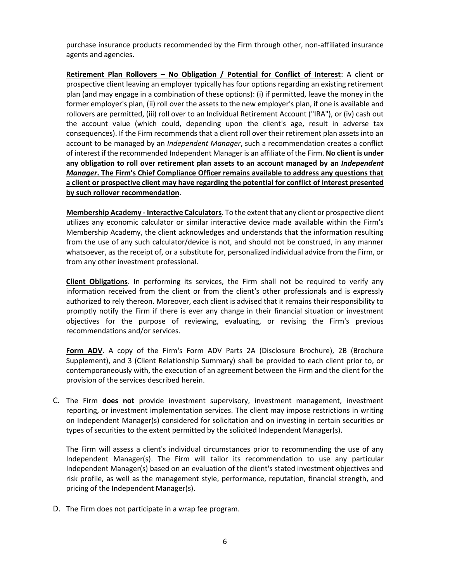purchase insurance products recommended by the Firm through other, non-affiliated insurance agents and agencies.

**Retirement Plan Rollovers – No Obligation / Potential for Conflict of Interest**: A client or prospective client leaving an employer typically has four options regarding an existing retirement plan (and may engage in a combination of these options): (i) if permitted, leave the money in the former employer's plan, (ii) roll over the assets to the new employer's plan, if one is available and rollovers are permitted, (iii) roll over to an Individual Retirement Account ("IRA"), or (iv) cash out the account value (which could, depending upon the client's age, result in adverse tax consequences). If the Firm recommends that a client roll over their retirement plan assets into an account to be managed by an *Independent Manager*, such a recommendation creates a conflict of interest if the recommended Independent Manager is an affiliate of the Firm. **No client is under any obligation to roll over retirement plan assets to an account managed by an** *Independent Manager***. The Firm's Chief Compliance Officer remains available to address any questions that a client or prospective client may have regarding the potential for conflict of interest presented by such rollover recommendation**.

**Membership Academy - Interactive Calculators**. To the extent that any client or prospective client utilizes any economic calculator or similar interactive device made available within the Firm's Membership Academy, the client acknowledges and understands that the information resulting from the use of any such calculator/device is not, and should not be construed, in any manner whatsoever, as the receipt of, or a substitute for, personalized individual advice from the Firm, or from any other investment professional.

**Client Obligations**. In performing its services, the Firm shall not be required to verify any information received from the client or from the client's other professionals and is expressly authorized to rely thereon. Moreover, each client is advised that it remains their responsibility to promptly notify the Firm if there is ever any change in their financial situation or investment objectives for the purpose of reviewing, evaluating, or revising the Firm's previous recommendations and/or services.

**Form ADV**. A copy of the Firm's Form ADV Parts 2A (Disclosure Brochure), 2B (Brochure Supplement), and 3 (Client Relationship Summary) shall be provided to each client prior to, or contemporaneously with, the execution of an agreement between the Firm and the client for the provision of the services described herein.

C. The Firm **does not** provide investment supervisory, investment management, investment reporting, or investment implementation services. The client may impose restrictions in writing on Independent Manager(s) considered for solicitation and on investing in certain securities or types of securities to the extent permitted by the solicited Independent Manager(s).

The Firm will assess a client's individual circumstances prior to recommending the use of any Independent Manager(s). The Firm will tailor its recommendation to use any particular Independent Manager(s) based on an evaluation of the client's stated investment objectives and risk profile, as well as the management style, performance, reputation, financial strength, and pricing of the Independent Manager(s).

D. The Firm does not participate in a wrap fee program.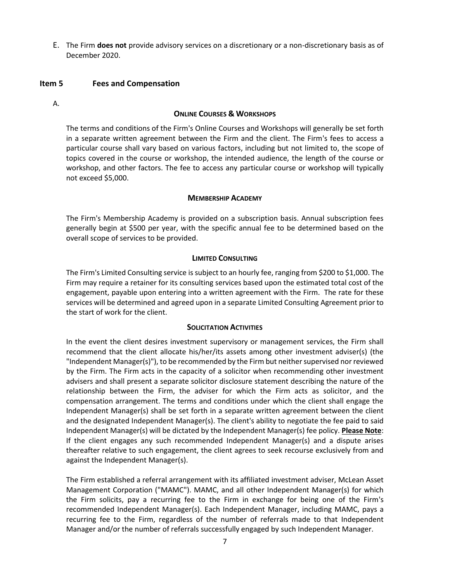E. The Firm **does not** provide advisory services on a discretionary or a non-discretionary basis as of December 2020.

#### <span id="page-6-0"></span>**Item 5 Fees and Compensation**

A.

#### **ONLINE COURSES & WORKSHOPS**

The terms and conditions of the Firm's Online Courses and Workshops will generally be set forth in a separate written agreement between the Firm and the client. The Firm's fees to access a particular course shall vary based on various factors, including but not limited to, the scope of topics covered in the course or workshop, the intended audience, the length of the course or workshop, and other factors. The fee to access any particular course or workshop will typically not exceed \$5,000.

#### **MEMBERSHIP ACADEMY**

The Firm's Membership Academy is provided on a subscription basis. Annual subscription fees generally begin at \$500 per year, with the specific annual fee to be determined based on the overall scope of services to be provided.

#### **LIMITED CONSULTING**

The Firm's Limited Consulting service is subject to an hourly fee, ranging from \$200 to \$1,000. The Firm may require a retainer for its consulting services based upon the estimated total cost of the engagement, payable upon entering into a written agreement with the Firm. The rate for these services will be determined and agreed upon in a separate Limited Consulting Agreement prior to the start of work for the client.

#### **SOLICITATION ACTIVITIES**

In the event the client desires investment supervisory or management services, the Firm shall recommend that the client allocate his/her/its assets among other investment adviser(s) (the "Independent Manager(s)"), to be recommended by the Firm but neither supervised nor reviewed by the Firm. The Firm acts in the capacity of a solicitor when recommending other investment advisers and shall present a separate solicitor disclosure statement describing the nature of the relationship between the Firm, the adviser for which the Firm acts as solicitor, and the compensation arrangement. The terms and conditions under which the client shall engage the Independent Manager(s) shall be set forth in a separate written agreement between the client and the designated Independent Manager(s). The client's ability to negotiate the fee paid to said Independent Manager(s) will be dictated by the Independent Manager(s) fee policy. **Please Note**: If the client engages any such recommended Independent Manager(s) and a dispute arises thereafter relative to such engagement, the client agrees to seek recourse exclusively from and against the Independent Manager(s).

The Firm established a referral arrangement with its affiliated investment adviser, McLean Asset Management Corporation ("MAMC"). MAMC, and all other Independent Manager(s) for which the Firm solicits, pay a recurring fee to the Firm in exchange for being one of the Firm's recommended Independent Manager(s). Each Independent Manager, including MAMC, pays a recurring fee to the Firm, regardless of the number of referrals made to that Independent Manager and/or the number of referrals successfully engaged by such Independent Manager.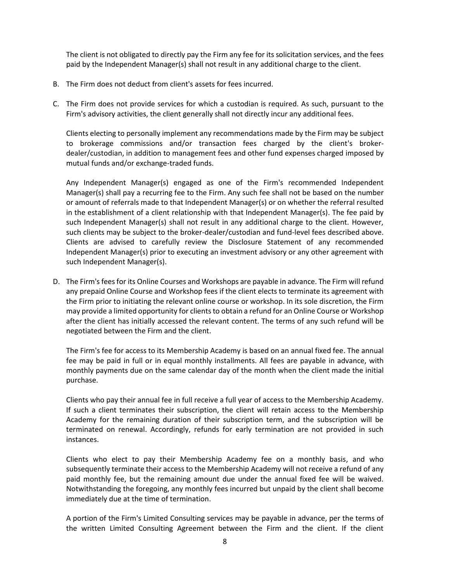The client is not obligated to directly pay the Firm any fee for its solicitation services, and the fees paid by the Independent Manager(s) shall not result in any additional charge to the client.

- B. The Firm does not deduct from client's assets for fees incurred.
- C. The Firm does not provide services for which a custodian is required. As such, pursuant to the Firm's advisory activities, the client generally shall not directly incur any additional fees.

Clients electing to personally implement any recommendations made by the Firm may be subject to brokerage commissions and/or transaction fees charged by the client's brokerdealer/custodian, in addition to management fees and other fund expenses charged imposed by mutual funds and/or exchange-traded funds.

Any Independent Manager(s) engaged as one of the Firm's recommended Independent Manager(s) shall pay a recurring fee to the Firm. Any such fee shall not be based on the number or amount of referrals made to that Independent Manager(s) or on whether the referral resulted in the establishment of a client relationship with that Independent Manager(s). The fee paid by such Independent Manager(s) shall not result in any additional charge to the client. However, such clients may be subject to the broker-dealer/custodian and fund-level fees described above. Clients are advised to carefully review the Disclosure Statement of any recommended Independent Manager(s) prior to executing an investment advisory or any other agreement with such Independent Manager(s).

D. The Firm's fees for its Online Courses and Workshops are payable in advance. The Firm will refund any prepaid Online Course and Workshop fees if the client elects to terminate its agreement with the Firm prior to initiating the relevant online course or workshop. In its sole discretion, the Firm may provide a limited opportunity for clients to obtain a refund for an Online Course or Workshop after the client has initially accessed the relevant content. The terms of any such refund will be negotiated between the Firm and the client.

The Firm's fee for access to its Membership Academy is based on an annual fixed fee. The annual fee may be paid in full or in equal monthly installments. All fees are payable in advance, with monthly payments due on the same calendar day of the month when the client made the initial purchase.

Clients who pay their annual fee in full receive a full year of access to the Membership Academy. If such a client terminates their subscription, the client will retain access to the Membership Academy for the remaining duration of their subscription term, and the subscription will be terminated on renewal. Accordingly, refunds for early termination are not provided in such instances.

Clients who elect to pay their Membership Academy fee on a monthly basis, and who subsequently terminate their access to the Membership Academy will not receive a refund of any paid monthly fee, but the remaining amount due under the annual fixed fee will be waived. Notwithstanding the foregoing, any monthly fees incurred but unpaid by the client shall become immediately due at the time of termination.

A portion of the Firm's Limited Consulting services may be payable in advance, per the terms of the written Limited Consulting Agreement between the Firm and the client. If the client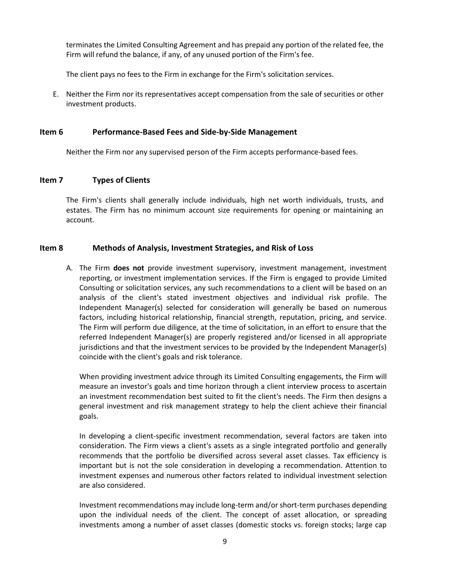terminates the Limited Consulting Agreement and has prepaid any portion of the related fee, the Firm will refund the balance, if any, of any unused portion of the Firm's fee.

The client pays no fees to the Firm in exchange for the Firm's solicitation services.

E. Neither the Firm nor its representatives accept compensation from the sale of securities or other investment products.

### <span id="page-8-0"></span>**Item 6 Performance-Based Fees and Side-by-Side Management**

Neither the Firm nor any supervised person of the Firm accepts performance-based fees.

### <span id="page-8-1"></span>**Item 7 Types of Clients**

The Firm's clients shall generally include individuals, high net worth individuals, trusts, and estates. The Firm has no minimum account size requirements for opening or maintaining an account.

### <span id="page-8-2"></span>**Item 8 Methods of Analysis, Investment Strategies, and Risk of Loss**

A. The Firm **does not** provide investment supervisory, investment management, investment reporting, or investment implementation services. If the Firm is engaged to provide Limited Consulting or solicitation services, any such recommendations to a client will be based on an analysis of the client's stated investment objectives and individual risk profile. The Independent Manager(s) selected for consideration will generally be based on numerous factors, including historical relationship, financial strength, reputation, pricing, and service. The Firm will perform due diligence, at the time of solicitation, in an effort to ensure that the referred Independent Manager(s) are properly registered and/or licensed in all appropriate jurisdictions and that the investment services to be provided by the Independent Manager(s) coincide with the client's goals and risk tolerance.

When providing investment advice through its Limited Consulting engagements, the Firm will measure an investor's goals and time horizon through a client interview process to ascertain an investment recommendation best suited to fit the client's needs. The Firm then designs a general investment and risk management strategy to help the client achieve their financial goals.

In developing a client-specific investment recommendation, several factors are taken into consideration. The Firm views a client's assets as a single integrated portfolio and generally recommends that the portfolio be diversified across several asset classes. Tax efficiency is important but is not the sole consideration in developing a recommendation. Attention to investment expenses and numerous other factors related to individual investment selection are also considered.

Investment recommendations may include long-term and/orshort-term purchases depending upon the individual needs of the client. The concept of asset allocation, or spreading investments among a number of asset classes (domestic stocks vs. foreign stocks; large cap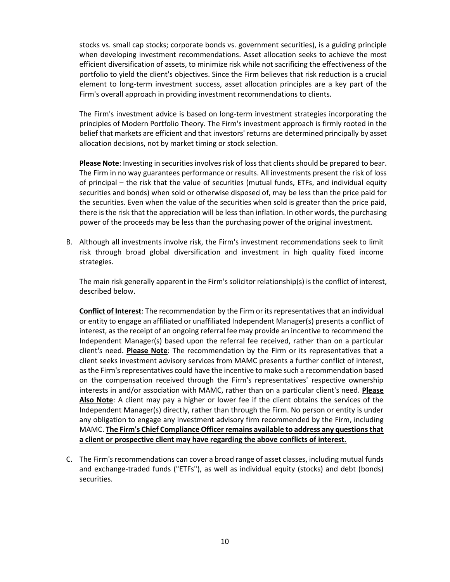stocks vs. small cap stocks; corporate bonds vs. government securities), is a guiding principle when developing investment recommendations. Asset allocation seeks to achieve the most efficient diversification of assets, to minimize risk while not sacrificing the effectiveness of the portfolio to yield the client's objectives. Since the Firm believes that risk reduction is a crucial element to long-term investment success, asset allocation principles are a key part of the Firm's overall approach in providing investment recommendations to clients.

The Firm's investment advice is based on long-term investment strategies incorporating the principles of Modern Portfolio Theory. The Firm's investment approach is firmly rooted in the belief that markets are efficient and that investors' returns are determined principally by asset allocation decisions, not by market timing or stock selection.

**Please Note**: Investing in securities involves risk of loss that clients should be prepared to bear. The Firm in no way guarantees performance or results. All investments present the risk of loss of principal – the risk that the value of securities (mutual funds, ETFs, and individual equity securities and bonds) when sold or otherwise disposed of, may be less than the price paid for the securities. Even when the value of the securities when sold is greater than the price paid, there is the risk that the appreciation will be less than inflation. In other words, the purchasing power of the proceeds may be less than the purchasing power of the original investment.

B. Although all investments involve risk, the Firm's investment recommendations seek to limit risk through broad global diversification and investment in high quality fixed income strategies.

The main risk generally apparent in the Firm's solicitor relationship(s) is the conflict of interest, described below.

**Conflict of Interest**: The recommendation by the Firm or its representatives that an individual or entity to engage an affiliated or unaffiliated Independent Manager(s) presents a conflict of interest, as the receipt of an ongoing referral fee may provide an incentive to recommend the Independent Manager(s) based upon the referral fee received, rather than on a particular client's need. **Please Note**: The recommendation by the Firm or its representatives that a client seeks investment advisory services from MAMC presents a further conflict of interest, as the Firm's representatives could have the incentive to make such a recommendation based on the compensation received through the Firm's representatives' respective ownership interests in and/or association with MAMC, rather than on a particular client's need. **Please Also Note**: A client may pay a higher or lower fee if the client obtains the services of the Independent Manager(s) directly, rather than through the Firm. No person or entity is under any obligation to engage any investment advisory firm recommended by the Firm, including MAMC. **The Firm's Chief Compliance Officer remains available to address any questions that a client or prospective client may have regarding the above conflicts of interest.**

C. The Firm's recommendations can cover a broad range of asset classes, including mutual funds and exchange-traded funds ("ETFs"), as well as individual equity (stocks) and debt (bonds) securities.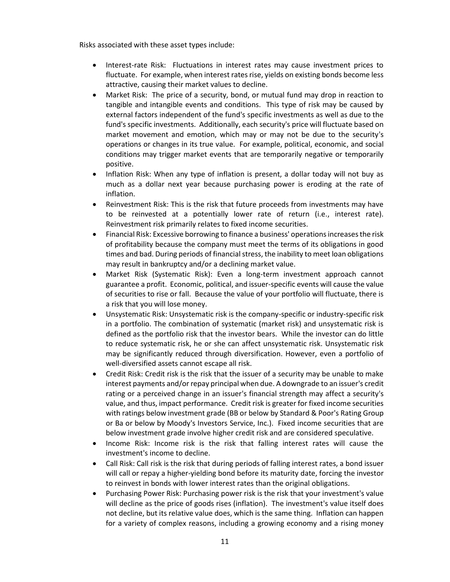Risks associated with these asset types include:

- Interest-rate Risk: Fluctuations in interest rates may cause investment prices to fluctuate. For example, when interest rates rise, yields on existing bonds become less attractive, causing their market values to decline.
- Market Risk: The price of a security, bond, or mutual fund may drop in reaction to tangible and intangible events and conditions. This type of risk may be caused by external factors independent of the fund's specific investments as well as due to the fund's specific investments. Additionally, each security's price will fluctuate based on market movement and emotion, which may or may not be due to the security's operations or changes in its true value. For example, political, economic, and social conditions may trigger market events that are temporarily negative or temporarily positive.
- Inflation Risk: When any type of inflation is present, a dollar today will not buy as much as a dollar next year because purchasing power is eroding at the rate of inflation.
- Reinvestment Risk: This is the risk that future proceeds from investments may have to be reinvested at a potentially lower rate of return (i.e., interest rate). Reinvestment risk primarily relates to fixed income securities.
- Financial Risk: Excessive borrowing to finance a business' operations increases the risk of profitability because the company must meet the terms of its obligations in good times and bad. During periods of financial stress, the inability to meet loan obligations may result in bankruptcy and/or a declining market value.
- Market Risk (Systematic Risk): Even a long-term investment approach cannot guarantee a profit. Economic, political, and issuer-specific events will cause the value of securities to rise or fall. Because the value of your portfolio will fluctuate, there is a risk that you will lose money.
- Unsystematic Risk: Unsystematic risk is the company-specific or industry-specific risk in a portfolio. The combination of systematic (market risk) and unsystematic risk is defined as the portfolio risk that the investor bears. While the investor can do little to reduce systematic risk, he or she can affect unsystematic risk. Unsystematic risk may be significantly reduced through diversification. However, even a portfolio of well-diversified assets cannot escape all risk.
- Credit Risk: Credit risk is the risk that the issuer of a security may be unable to make interest payments and/or repay principal when due. A downgrade to an issuer's credit rating or a perceived change in an issuer's financial strength may affect a security's value, and thus, impact performance. Credit risk is greater for fixed income securities with ratings below investment grade (BB or below by Standard & Poor's Rating Group or Ba or below by Moody's Investors Service, Inc.). Fixed income securities that are below investment grade involve higher credit risk and are considered speculative.
- Income Risk: Income risk is the risk that falling interest rates will cause the investment's income to decline.
- Call Risk: Call risk is the risk that during periods of falling interest rates, a bond issuer will call or repay a higher-yielding bond before its maturity date, forcing the investor to reinvest in bonds with lower interest rates than the original obligations.
- Purchasing Power Risk: Purchasing power risk is the risk that your investment's value will decline as the price of goods rises (inflation). The investment's value itself does not decline, but its relative value does, which is the same thing. Inflation can happen for a variety of complex reasons, including a growing economy and a rising money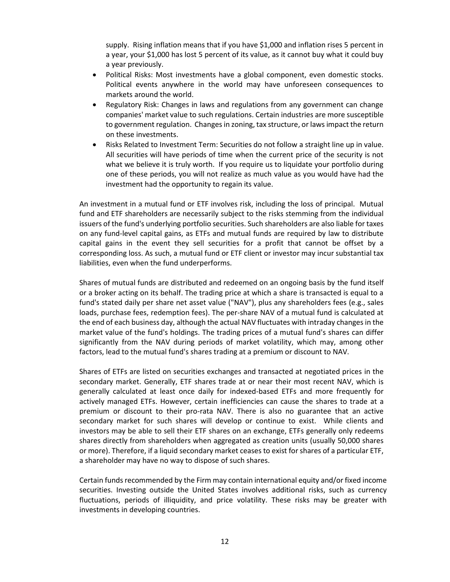supply. Rising inflation means that if you have \$1,000 and inflation rises 5 percent in a year, your \$1,000 has lost 5 percent of its value, as it cannot buy what it could buy a year previously.

- Political Risks: Most investments have a global component, even domestic stocks. Political events anywhere in the world may have unforeseen consequences to markets around the world.
- Regulatory Risk: Changes in laws and regulations from any government can change companies' market value to such regulations. Certain industries are more susceptible to government regulation. Changes in zoning, tax structure, or laws impact the return on these investments.
- Risks Related to Investment Term: Securities do not follow a straight line up in value. All securities will have periods of time when the current price of the security is not what we believe it is truly worth. If you require us to liquidate your portfolio during one of these periods, you will not realize as much value as you would have had the investment had the opportunity to regain its value.

An investment in a mutual fund or ETF involves risk, including the loss of principal. Mutual fund and ETF shareholders are necessarily subject to the risks stemming from the individual issuers of the fund's underlying portfolio securities. Such shareholders are also liable for taxes on any fund-level capital gains, as ETFs and mutual funds are required by law to distribute capital gains in the event they sell securities for a profit that cannot be offset by a corresponding loss. As such, a mutual fund or ETF client or investor may incur substantial tax liabilities, even when the fund underperforms.

Shares of mutual funds are distributed and redeemed on an ongoing basis by the fund itself or a broker acting on its behalf. The trading price at which a share is transacted is equal to a fund's stated daily per share net asset value ("NAV"), plus any shareholders fees (e.g., sales loads, purchase fees, redemption fees). The per-share NAV of a mutual fund is calculated at the end of each business day, although the actual NAV fluctuates with intraday changes in the market value of the fund's holdings. The trading prices of a mutual fund's shares can differ significantly from the NAV during periods of market volatility, which may, among other factors, lead to the mutual fund's shares trading at a premium or discount to NAV.

Shares of ETFs are listed on securities exchanges and transacted at negotiated prices in the secondary market. Generally, ETF shares trade at or near their most recent NAV, which is generally calculated at least once daily for indexed-based ETFs and more frequently for actively managed ETFs. However, certain inefficiencies can cause the shares to trade at a premium or discount to their pro-rata NAV. There is also no guarantee that an active secondary market for such shares will develop or continue to exist. While clients and investors may be able to sell their ETF shares on an exchange, ETFs generally only redeems shares directly from shareholders when aggregated as creation units (usually 50,000 shares or more). Therefore, if a liquid secondary market ceases to exist for shares of a particular ETF, a shareholder may have no way to dispose of such shares.

Certain funds recommended by the Firm may contain international equity and/or fixed income securities. Investing outside the United States involves additional risks, such as currency fluctuations, periods of illiquidity, and price volatility. These risks may be greater with investments in developing countries.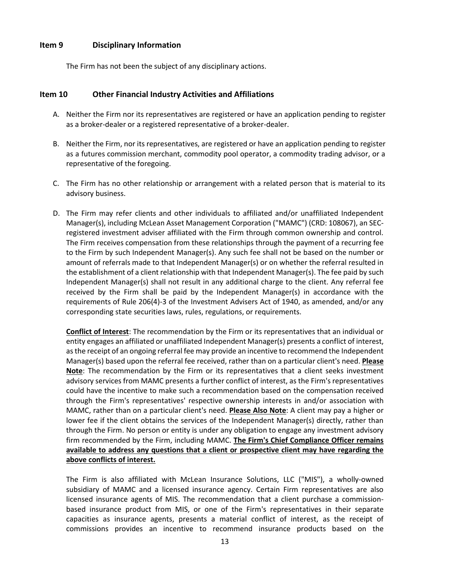#### <span id="page-12-0"></span>**Item 9 Disciplinary Information**

The Firm has not been the subject of any disciplinary actions.

### <span id="page-12-1"></span>**Item 10 Other Financial Industry Activities and Affiliations**

- A. Neither the Firm nor its representatives are registered or have an application pending to register as a broker-dealer or a registered representative of a broker-dealer.
- B. Neither the Firm, nor its representatives, are registered or have an application pending to register as a futures commission merchant, commodity pool operator, a commodity trading advisor, or a representative of the foregoing.
- C. The Firm has no other relationship or arrangement with a related person that is material to its advisory business.
- D. The Firm may refer clients and other individuals to affiliated and/or unaffiliated Independent Manager(s), including McLean Asset Management Corporation ("MAMC") (CRD: 108067), an SECregistered investment adviser affiliated with the Firm through common ownership and control. The Firm receives compensation from these relationships through the payment of a recurring fee to the Firm by such Independent Manager(s). Any such fee shall not be based on the number or amount of referrals made to that Independent Manager(s) or on whether the referral resulted in the establishment of a client relationship with that Independent Manager(s). The fee paid by such Independent Manager(s) shall not result in any additional charge to the client. Any referral fee received by the Firm shall be paid by the Independent Manager(s) in accordance with the requirements of Rule 206(4)-3 of the Investment Advisers Act of 1940, as amended, and/or any corresponding state securities laws, rules, regulations, or requirements.

**Conflict of Interest**: The recommendation by the Firm or its representatives that an individual or entity engages an affiliated or unaffiliated Independent Manager(s) presents a conflict of interest, as the receipt of an ongoing referral fee may provide an incentive to recommend the Independent Manager(s) based upon the referral fee received, rather than on a particular client's need. **Please Note**: The recommendation by the Firm or its representatives that a client seeks investment advisory services from MAMC presents a further conflict of interest, as the Firm's representatives could have the incentive to make such a recommendation based on the compensation received through the Firm's representatives' respective ownership interests in and/or association with MAMC, rather than on a particular client's need. **Please Also Note**: A client may pay a higher or lower fee if the client obtains the services of the Independent Manager(s) directly, rather than through the Firm. No person or entity is under any obligation to engage any investment advisory firm recommended by the Firm, including MAMC. **The Firm's Chief Compliance Officer remains available to address any questions that a client or prospective client may have regarding the above conflicts of interest.**

The Firm is also affiliated with McLean Insurance Solutions, LLC ("MIS"), a wholly-owned subsidiary of MAMC and a licensed insurance agency. Certain Firm representatives are also licensed insurance agents of MIS. The recommendation that a client purchase a commissionbased insurance product from MIS, or one of the Firm's representatives in their separate capacities as insurance agents, presents a material conflict of interest, as the receipt of commissions provides an incentive to recommend insurance products based on the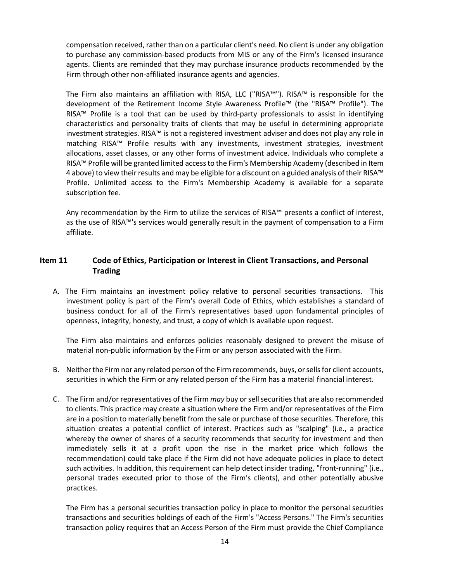compensation received, rather than on a particular client's need. No client is under any obligation to purchase any commission-based products from MIS or any of the Firm's licensed insurance agents. Clients are reminded that they may purchase insurance products recommended by the Firm through other non-affiliated insurance agents and agencies.

The Firm also maintains an affiliation with RISA, LLC ("RISA™"). RISA™ is responsible for the development of the Retirement Income Style Awareness Profile™ (the "RISA™ Profile"). The RISA™ Profile is a tool that can be used by third-party professionals to assist in identifying characteristics and personality traits of clients that may be useful in determining appropriate investment strategies. RISA™ is not a registered investment adviser and does not play any role in matching RISA™ Profile results with any investments, investment strategies, investment allocations, asset classes, or any other forms of investment advice. Individuals who complete a RISA™ Profile will be granted limited access to the Firm's Membership Academy (described in Item 4 above) to view their results and may be eligible for a discount on a guided analysis of their RISA™ Profile. Unlimited access to the Firm's Membership Academy is available for a separate subscription fee.

Any recommendation by the Firm to utilize the services of RISA™ presents a conflict of interest, as the use of RISA™'s services would generally result in the payment of compensation to a Firm affiliate.

## <span id="page-13-0"></span>**Item 11 Code of Ethics, Participation or Interest in Client Transactions, and Personal Trading**

A. The Firm maintains an investment policy relative to personal securities transactions. This investment policy is part of the Firm's overall Code of Ethics, which establishes a standard of business conduct for all of the Firm's representatives based upon fundamental principles of openness, integrity, honesty, and trust, a copy of which is available upon request.

The Firm also maintains and enforces policies reasonably designed to prevent the misuse of material non-public information by the Firm or any person associated with the Firm.

- B. Neither the Firm nor any related person of the Firm recommends, buys, or sells for client accounts, securities in which the Firm or any related person of the Firm has a material financial interest.
- C. The Firm and/or representatives of the Firm *may* buy or sell securities that are also recommended to clients. This practice may create a situation where the Firm and/or representatives of the Firm are in a position to materially benefit from the sale or purchase of those securities. Therefore, this situation creates a potential conflict of interest. Practices such as "scalping" (i.e., a practice whereby the owner of shares of a security recommends that security for investment and then immediately sells it at a profit upon the rise in the market price which follows the recommendation) could take place if the Firm did not have adequate policies in place to detect such activities. In addition, this requirement can help detect insider trading, "front-running" (i.e., personal trades executed prior to those of the Firm's clients), and other potentially abusive practices.

The Firm has a personal securities transaction policy in place to monitor the personal securities transactions and securities holdings of each of the Firm's "Access Persons." The Firm's securities transaction policy requires that an Access Person of the Firm must provide the Chief Compliance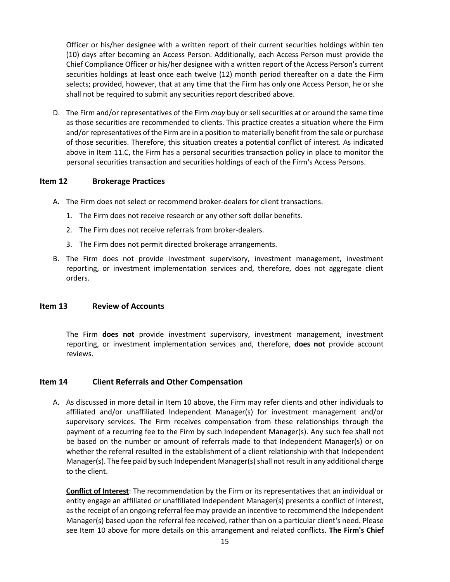Officer or his/her designee with a written report of their current securities holdings within ten (10) days after becoming an Access Person. Additionally, each Access Person must provide the Chief Compliance Officer or his/her designee with a written report of the Access Person's current securities holdings at least once each twelve (12) month period thereafter on a date the Firm selects; provided, however, that at any time that the Firm has only one Access Person, he or she shall not be required to submit any securities report described above.

D. The Firm and/or representatives of the Firm *may* buy or sell securities at or around the same time as those securities are recommended to clients. This practice creates a situation where the Firm and/or representatives of the Firm are in a position to materially benefit from the sale or purchase of those securities. Therefore, this situation creates a potential conflict of interest. As indicated above in Item 11.C, the Firm has a personal securities transaction policy in place to monitor the personal securities transaction and securities holdings of each of the Firm's Access Persons.

### <span id="page-14-0"></span>**Item 12 Brokerage Practices**

- A. The Firm does not select or recommend broker-dealers for client transactions.
	- 1. The Firm does not receive research or any other soft dollar benefits.
	- 2. The Firm does not receive referrals from broker-dealers.
	- 3. The Firm does not permit directed brokerage arrangements.
- B. The Firm does not provide investment supervisory, investment management, investment reporting, or investment implementation services and, therefore, does not aggregate client orders.

#### <span id="page-14-1"></span>**Item 13 Review of Accounts**

The Firm **does not** provide investment supervisory, investment management, investment reporting, or investment implementation services and, therefore, **does not** provide account reviews.

#### <span id="page-14-2"></span>**Item 14 Client Referrals and Other Compensation**

A. As discussed in more detail in Item 10 above, the Firm may refer clients and other individuals to affiliated and/or unaffiliated Independent Manager(s) for investment management and/or supervisory services. The Firm receives compensation from these relationships through the payment of a recurring fee to the Firm by such Independent Manager(s). Any such fee shall not be based on the number or amount of referrals made to that Independent Manager(s) or on whether the referral resulted in the establishment of a client relationship with that Independent Manager(s). The fee paid by such Independent Manager(s) shall not result in any additional charge to the client.

**Conflict of Interest**: The recommendation by the Firm or its representatives that an individual or entity engage an affiliated or unaffiliated Independent Manager(s) presents a conflict of interest, as the receipt of an ongoing referral fee may provide an incentive to recommend the Independent Manager(s) based upon the referral fee received, rather than on a particular client's need. Please see Item 10 above for more details on this arrangement and related conflicts. **The Firm's Chief**